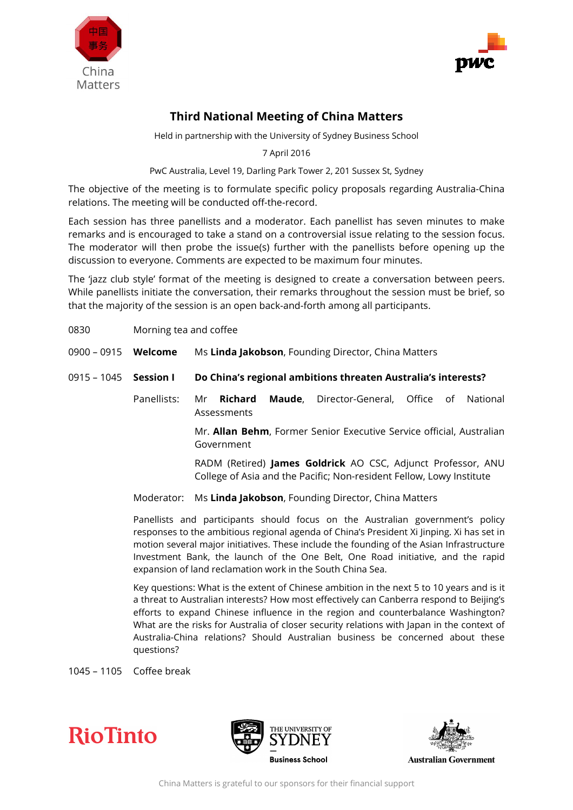



## **Third National Meeting of China Matters**

Held in partnership with the University of Sydney Business School

7 April 2016

PwC Australia, Level 19, Darling Park Tower 2, 201 Sussex St, Sydney

The objective of the meeting is to formulate specific policy proposals regarding Australia-China relations. The meeting will be conducted off-the-record.

Each session has three panellists and a moderator. Each panellist has seven minutes to make remarks and is encouraged to take a stand on a controversial issue relating to the session focus. The moderator will then probe the issue(s) further with the panellists before opening up the discussion to everyone. Comments are expected to be maximum four minutes.

The 'jazz club style' format of the meeting is designed to create a conversation between peers. While panellists initiate the conversation, their remarks throughout the session must be brief, so that the majority of the session is an open back-and-forth among all participants.

- 0830 Morning tea and coffee
- 0900 0915 **Welcome** Ms **Linda Jakobson**, Founding Director, China Matters
- 0915 1045 **Session I Do China's regional ambitions threaten Australia's interests?** 
	- Panellists: Mr **Richard Maude**, Director-General, Office of National Assessments

Mr. **Allan Behm**, Former Senior Executive Service official, Australian Government

RADM (Retired) **James Goldrick** AO CSC, Adjunct Professor, ANU College of Asia and the Pacific; Non-resident Fellow, Lowy Institute

Moderator: Ms **Linda Jakobson**, Founding Director, China Matters

Panellists and participants should focus on the Australian government's policy responses to the ambitious regional agenda of China's President Xi Jinping. Xi has set in motion several major initiatives. These include the founding of the Asian Infrastructure Investment Bank, the launch of the One Belt, One Road initiative, and the rapid expansion of land reclamation work in the South China Sea.

Key questions: What is the extent of Chinese ambition in the next 5 to 10 years and is it a threat to Australian interests? How most effectively can Canberra respond to Beijing's efforts to expand Chinese influence in the region and counterbalance Washington? What are the risks for Australia of closer security relations with Japan in the context of Australia-China relations? Should Australian business be concerned about these questions?

1045 – 1105 Coffee break







**Australian Government**